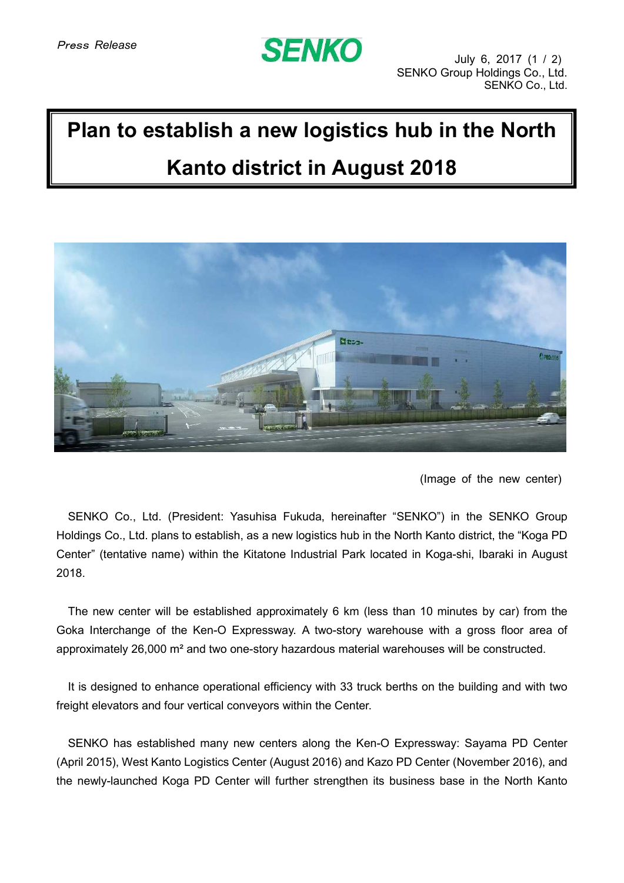## **SENKO**

## **Plan to establish a new logistics hub in the North Kanto district in August 2018**



(Image of the new center)

SENKO Co., Ltd. (President: Yasuhisa Fukuda, hereinafter "SENKO") in the SENKO Group Holdings Co., Ltd. plans to establish, as a new logistics hub in the North Kanto district, the "Koga PD Center" (tentative name) within the Kitatone Industrial Park located in Koga-shi, Ibaraki in August 2018.

The new center will be established approximately 6 km (less than 10 minutes by car) from the Goka Interchange of the Ken-O Expressway. A two-story warehouse with a gross floor area of approximately 26,000 m² and two one-story hazardous material warehouses will be constructed.

It is designed to enhance operational efficiency with 33 truck berths on the building and with two freight elevators and four vertical conveyors within the Center.

SENKO has established many new centers along the Ken-O Expressway: Sayama PD Center (April 2015), West Kanto Logistics Center (August 2016) and Kazo PD Center (November 2016), and the newly-launched Koga PD Center will further strengthen its business base in the North Kanto